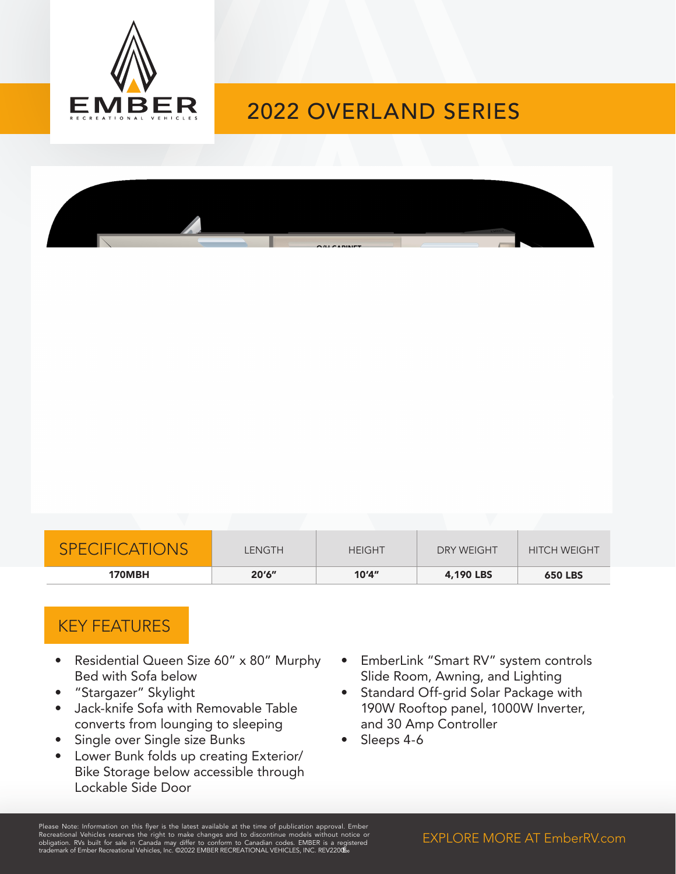

# 2022 OVERLAND SERIES

### 170MBH

| <b>SPECIFICATIONS</b> | LENGTH | <b>HEIGHT</b> | DRY WEIGHT | <b>HITCH WEIGHT</b> |
|-----------------------|--------|---------------|------------|---------------------|
| <b>170MBH</b>         | 20'6'' | 10'4''        | 4,190 LBS  | <b>650 LBS</b>      |

### KEY FEATURES

- Residential Queen Size 60" x 80" Murphy Bed with Sofa below
- "Stargazer" Skylight
- Jack-knife Sofa with Removable Table converts from lounging to sleeping
- Single over Single size Bunks
- Lower Bunk folds up creating Exterior/ Bike Storage below accessible through Lockable Side Door
- EmberLink "Smart RV" system controls Slide Room, Awning, and Lighting
- Standard Off-grid Solar Package with 190W Rooftop panel, 1000W Inverter, and 30 Amp Controller
- Sleeps 4-6